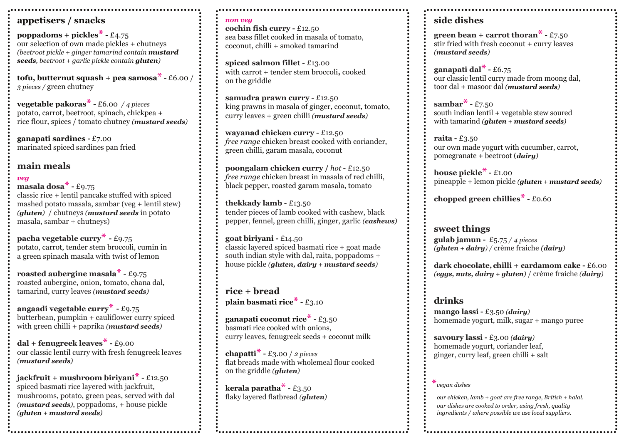#### **appetisers / snacks**

**poppadoms + pickles\* -** £4.75 our selection of own made pickles + chutneys *(beetroot pickle + ginger tamarind contain mustard seeds, beetroot + garlic pickle contain gluten)*

**tofu, butternut squash + pea samosa\* -** £6.00 / *3 pieces /* green chutney

**vegetable pakoras\* -** £6.00 */ 4 pieces* potato, carrot, beetroot, spinach, chickpea + rice flour, spices / tomato chutney *(mustard seeds)*

**ganapati sardines -** £7.00 marinated spiced sardines pan fried

#### **main meals**

#### *veg*

**masala dosa\* -** £9.75 classic rice + lentil pancake stuffed with spiced mashed potato masala, sambar (veg + lentil stew) *(gluten)* / chutneys *(mustard seeds* in potato masala, sambar + chutneys)

**pacha vegetable curry\* -** £9.75 potato, carrot, tender stem broccoli, cumin in a green spinach masala with twist of lemon

**roasted aubergine masala\* -** £9.75 roasted aubergine, onion, tomato, chana dal, tamarind, curry leaves *(mustard seeds)*

**angaadi vegetable curry\* -** £9.75 butterbean, pumpkin + cauliflower curry spiced with green chilli + paprika *(mustard seeds)*

**dal + fenugreek leaves\* -** £9.00 our classic lentil curry with fresh fenugreek leaves *(mustard seeds)*

**jackfruit + mushroom biriyani\* -** £12.50 spiced basmati rice layered with jackfruit, mushrooms, potato, green peas, served with dal *(mustard seeds)*, poppadoms, + house pickle *(gluten + mustard seeds)*

#### *non veg*

**cochin fish curry -** £12.50 sea bass fillet cooked in masala of tomato, coconut, chilli + smoked tamarind

**spiced salmon fillet -** £13.00 with carrot + tender stem broccoli**,** cooked on the griddle

**samudra prawn curry -** £12.50 king prawns in masala of ginger, coconut, tomato, curry leaves + green chilli *(mustard seeds)*

**wayanad chicken curry -** £12.50 *free range* chicken breast cooked with coriander, green chilli, garam masala, coconut

**poongalam chicken curry /** *hot* **-** £12.50 *free range* chicken breast in masala of red chilli, black pepper, roasted garam masala, tomato

**thekkady lamb -** £13.50 tender pieces of lamb cooked with cashew, black pepper, fennel, green chilli, ginger, garlic *(cashews)*

**goat biriyani -** £14.50 classic layered spiced basmati rice + goat made south indian style with dal, raita, poppadoms + house pickle *(gluten, dairy + mustard seeds)*

**rice + bread plain basmati rice\* -** £3.10

**ganapati coconut rice\* -** £3.50 basmati rice cooked with onions, curry leaves, fenugreek seeds + coconut milk

**chapatti\* -** £3.00 / *2 pieces*  flat breads made with wholemeal flour cooked on the griddle *(gluten)*

**kerala paratha\* -** £3.50 flaky layered flatbread *(gluten)*

#### **side dishes**

**green bean + carrot thoran\* -** £7.50 stir fried with fresh coconut + curry leaves *(mustard seeds)*

**ganapati dal\* -** £6.75 our classic lentil curry made from moong dal, toor dal + masoor dal *(mustard seeds)*

**sambar\* -** £7.50 south indian lentil + vegetable stew soured with tamarind *(gluten + mustard seeds)*

**raita -** £3.50 our own made yogurt with cucumber, carrot, pomegranate + beetroot (*dairy)*

**house pickle\* -** £1.00 pineapple + lemon pickle *(gluten + mustard seeds)*

**chopped green chillies\* -** £0.60

**sweet things gulab jamun -** £5.75 */ 4 pieces (gluten + dairy) /* crème fraiche *(dairy)*

**dark chocolate, chilli + cardamom cake -** £6.00 *(eggs, nuts, dairy + gluten)* / crème fraiche *(dairy)*

## **drinks**

**mango lassi -** £3.50 *(dairy)* homemade yogurt, milk, sugar + mango puree

**savoury lassi -** £3.00 *(dairy)* homemade yogurt, coriander leaf, ginger, curry leaf, green chilli + salt

**\****vegan dishes* 

*our chicken, lamb + goat are free range, British + halal. our dishes are cooked to order, using fresh, quality ingredients / where possible we use local suppliers.*